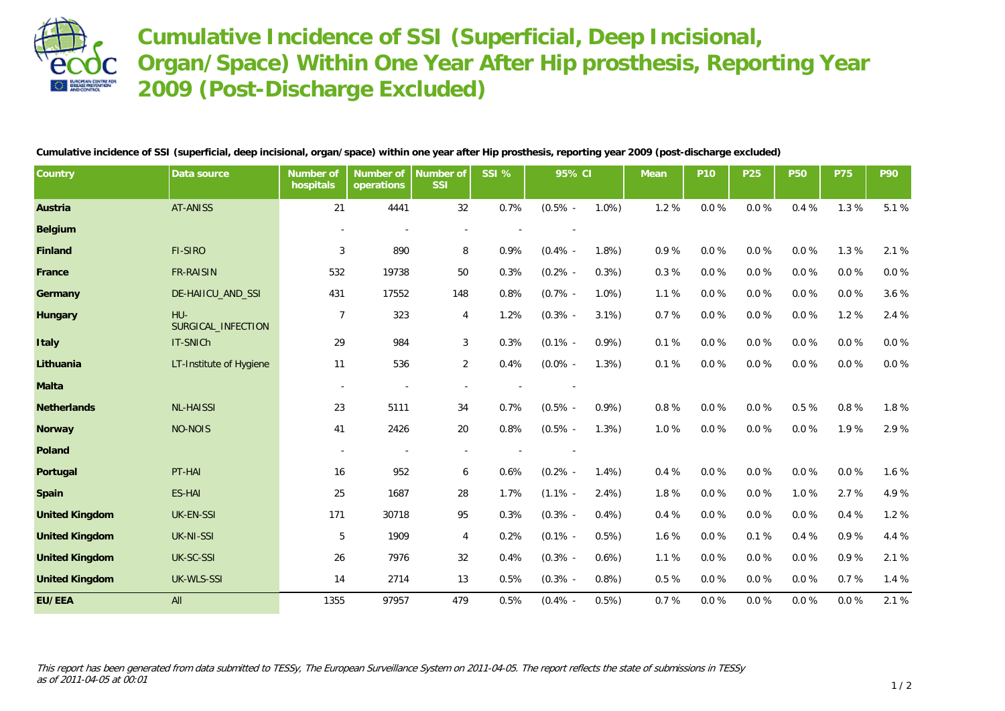

**Cumulative Incidence of SSI (Superficial, Deep Incisional, Organ/Space) Within One Year After Hip prosthesis, Reporting Year 2009 (Post-Discharge Excluded)**

**Cumulative incidence of SSI (superficial, deep incisional, organ/space) within one year after Hip prosthesis, reporting year 2009 (post-discharge excluded)**

| Country               | Data source               | Number of<br>hospitals   | Number of<br>operations | Number of<br><b>SSI</b> | SSI % | 95% CI     |      | Mean  | P <sub>10</sub> | P <sub>25</sub> | <b>P50</b> | <b>P75</b> | P90      |
|-----------------------|---------------------------|--------------------------|-------------------------|-------------------------|-------|------------|------|-------|-----------------|-----------------|------------|------------|----------|
| Austria               | <b>AT-ANISS</b>           | 21                       | 4441                    | 32                      | 0.7%  | $(0.5\%$ - | 1.0% | 1.2%  | $0.0 \%$        | 0.0%            | 0.4 %      | 1.3 %      | 5.1 %    |
| Belgium               |                           |                          |                         |                         |       |            |      |       |                 |                 |            |            |          |
| Finland               | FI-SIRO                   | 3                        | 890                     | 8                       | 0.9%  | $(0.4\%$ - | 1.8% | 0.9%  | $0.0 \%$        | 0.0%            | $0.0 \%$   | 1.3 %      | 2.1 %    |
| France                | <b>FR-RAISIN</b>          | 532                      | 19738                   | 50                      | 0.3%  | $(0.2\%$ - | 0.3% | 0.3%  | 0.0%            | 0.0%            | $0.0 \%$   | 0.0%       | $0.0 \%$ |
| Germany               | DE-HAIICU_AND_SSI         | 431                      | 17552                   | 148                     | 0.8%  | $(0.7\%$ - | 1.0% | 1.1%  | $0.0 \%$        | 0.0%            | $0.0 \%$   | $0.0 \%$   | 3.6 %    |
| Hungary               | HU-<br>SURGICAL INFECTION | $\overline{7}$           | 323                     | 4                       | 1.2%  | $(0.3\%$ - | 3.1% | 0.7%  | $0.0\ \%$       | 0.0%            | $0.0\ \%$  | 1.2 %      | 2.4 %    |
| Italy                 | IT-SNICh                  | 29                       | 984                     | 3                       | 0.3%  | $(0.1\%$ - | 0.9% | 0.1%  | $0.0\ \%$       | 0.0%            | $0.0\ \%$  | 0.0%       | $0.0 \%$ |
| Lithuania             | LT-Institute of Hygiene   | 11                       | 536                     | $\overline{a}$          | 0.4%  | $(0.0\%$ - | 1.3% | 0.1%  | $0.0\ \%$       | 0.0%            | $0.0\ \%$  | $0.0 \%$   | $0.0 \%$ |
| Malta                 |                           | $\overline{\phantom{a}}$ |                         |                         |       |            |      |       |                 |                 |            |            |          |
| Netherlands           | <b>NL-HAISSI</b>          | 23                       | 5111                    | 34                      | 0.7%  | $(0.5\%$ - | 0.9% | 0.8%  | $0.0\ \%$       | 0.0%            | $0.5~\%$   | 0.8%       | 1.8 %    |
| Norway                | <b>NO-NOIS</b>            | 41                       | 2426                    | 20                      | 0.8%  | $(0.5\%$ - | 1.3% | 1.0%  | $0.0 \%$        | 0.0%            | 0.0%       | 1.9%       | 2.9%     |
| Poland                |                           | $\overline{\phantom{a}}$ |                         |                         |       |            |      |       |                 |                 |            |            |          |
| Portugal              | PT-HAI                    | 16                       | 952                     | 6                       | 0.6%  | $(0.2\%$ - | 1.4% | 0.4%  | $0.0 \%$        | 0.0%            | $0.0 \%$   | $0.0 \%$   | 1.6 %    |
| Spain                 | <b>ES-HAI</b>             | 25                       | 1687                    | 28                      | 1.7%  | $(1.1\% -$ | 2.4% | 1.8%  | $0.0\ \%$       | 0.0%            | 1.0%       | 2.7 %      | 4.9%     |
| <b>United Kingdom</b> | UK-EN-SSI                 | 171                      | 30718                   | 95                      | 0.3%  | $(0.3\%$ - | 0.4% | 0.4%  | 0.0%            | 0.0%            | 0.0%       | 0.4%       | 1.2 %    |
| <b>United Kingdom</b> | UK-NI-SSI                 | 5                        | 1909                    | 4                       | 0.2%  | $(0.1\%$ - | 0.5% | 1.6 % | 0.0%            | 0.1%            | 0.4%       | 0.9%       | 4.4 %    |
| <b>United Kingdom</b> | UK-SC-SSI                 | 26                       | 7976                    | 32                      | 0.4%  | $(0.3\%$ - | 0.6% | 1.1%  | $0.0 \%$        | 0.0%            | $0.0 \%$   | 0.9%       | 2.1 %    |
| <b>United Kingdom</b> | UK-WLS-SSI                | 14                       | 2714                    | 13                      | 0.5%  | $(0.3\%$ - | 0.8% | 0.5%  | $0.0\ \%$       | 0.0%            | $0.0 \%$   | 0.7%       | 1.4%     |
| EU/EEA                | All                       | 1355                     | 97957                   | 479                     | 0.5%  | $(0.4\% -$ | 0.5% | 0.7%  | 0.0%            | 0.0%            | 0.0%       | 0.0%       | 2.1 %    |